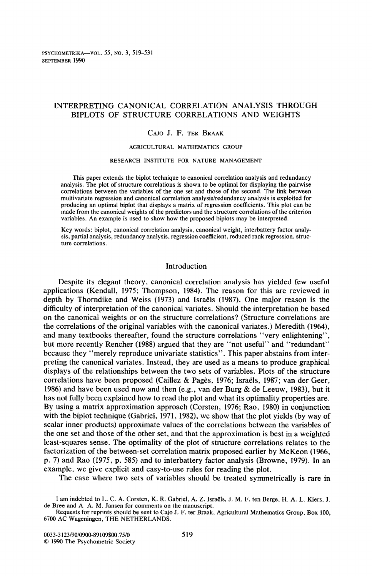PSYCHOMETRIKA-VOL. *55,* NO.3, 519-531 SEPTEMBER 1990

# INTERPRETING CANONICAL CORRELATION ANALYSIS THROUGH BIPLOTS OF STRUCTURE CORRELATIONS AND WEIGHTS

## CAJO J. F. TER BRAAK

### AGRICULTURAL MATHEMATICS GROUP

#### RESEARCH INSTITUTE FOR NATURE MANAGEMENT

This paper extends the biplot technique to canonical correlation analysis and redundancy analysis. The plot of structure correlations is shown to be optimal for displaying the pairwise correlations between the variables of the one set and those of the second. The link between multivariate regression and canonical correlation analysis/redundancy analysis is exploited for producing an optimal biplot that displays a matrix of regression coefficients. This plot can be made from the canonical weights of the predictors and the structure correlations of the criterion variables. An example is used to show how the proposed biplots may be interpreted.

Key words: biplot, canonical correlation analysis, canonical weight, interbattery factor analysis, partial analysis, redundancy analysis, regression coefficient, reduced rank regression, structure correlations.

### Introduction

Despite its elegant theory, canonical correlation analysis has yielded few useful applications (Kendall, 1975; Thompson, 1984). The reason for this are reviewed in depth by Thorndike and Weiss (1973) and Israels (1987). One major reason is the difficulty of interpretation of the canonical variates. Should the interpretation be based on the canonical weights or on the structure correlations? (Structure correlations are the correlations of the original variables with the canonical variates.) Meredith (1964), and many textbooks thereafter, found the structure correlations "very enlightening", but more recently Rencher (1988) argued that they are "not useful" and "redundant" because they "merely reproduce univariate statistics". This paper abstains from interpreting the canonical variates. Instead, they are used as a means to produce graphical displays of the relationships between the two sets of variables. Plots of the structure correlations have been proposed (Caillez & Pages, 1976; Israels, 1987; van der Geer, 1986) and have been used now and then (e.g., van der Burg & de Leeuw, 1983), but it has not fully been explained how to read the plot and what its optimality properties are. By using a matrix approximation approach (Corsten, 1976; Rao, 1980) in conjunction with the biplot technique (Gabriel, 1971, 1982), we show that the plot yields (by way of scalar inner products) approximate values of the correlations between the variables of the one set and those of the other set, and that the approximation is best in a weighted least-squares sense. The optimality of the plot of structure correlations relates to the factorization of the between-set correlation matrix proposed earlier by McKeon (1966, p. 7) and Rao (1975, p. 585) and to interbattery factor analysis (Browne, 1979). In an example, we give explicit and easy-to-use rules for reading the plot.

The case where two sets of variables should be treated symmetrically is rare in

I am indebted to L. C. A. Corsten, K. R. Gabriel, A. Z. Israels, J. M. F. ten Berge, H. A. L. Kiers, J. de Bree and A. A. M. Jansen for comments on the manuscript.

Requests for reprints should be sent to Cajo J. F. ter Braak, Agricultural Mathematics Group, Box 100, 6700 AC Wageningen, THE NETHERLANDS.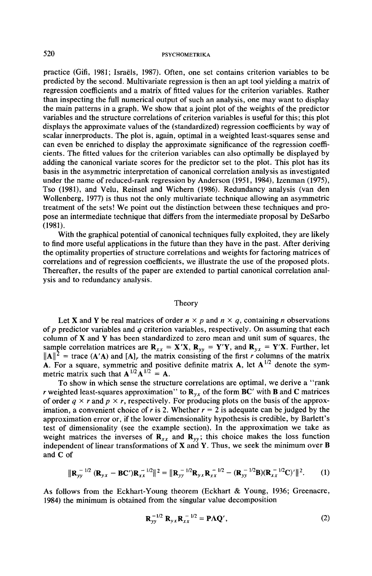# 520 **PSYCHOMETRIKA**

practice (Gifi, 1981; Israels, 1987). Often, one set contains criterion variables to be predicted by the second. Multivariate regression is then an apt tool yielding a matrix of regression coefficients and a matrix of fitted values for the criterion variables. Rather than inspecting the full numerical output of such an analysis, one may want to display the main patterns in a graph. We show that a joint plot of the weights of the predictor variables and the structure correlations of criterion variables is useful for this; this plot displays the approximate values of the (standardized) regression coefficients by way of scalar innerproducts. The plot is, again, optimal in a weighted least-squares sense and can even be enriched to display the approximate significance of the regression coefficients. The fitted values for the criterion variables can also optimally be displayed by adding the canonical variate scores for the predictor set to the plot. This plot has its basis in the asymmetric interpretation of canonical correlation analysis as investigated under the name of reduced-rank regression by Anderson (1951, 1984), Izenman (1975), Tso (1981), and Velu, Reinsel and Wichern (1986). Redundancy analysis (van den Wollenberg, 1977) is thus not the only multivariate technique allowing an asymmetric treatment of the sets! We point out the distinction between these techniques and propose an intermediate technique that differs from the intermediate proposal by DeSarbo (1981).

With the graphical potential of canonical techniques fully exploited, they are likely to find more useful applications in the future than they have in the past. After deriving the optimality properties of structure correlations and weights for factoring matrices of correlations and of regression coefficients, we illustrate the use of the proposed plots. Thereafter, the results of the paper are extended to partial canonical correlation analysis and to redundancy analysis.

### Theory

Let **X** and **Y** be real matrices of order  $n \times p$  and  $n \times q$ , containing *n* observations of p predictor variables and  $q$  criterion variables, respectively. On assuming that each column of  $X$  and  $Y$  has been standardized to zero mean and unit sum of squares, the sample correlation matrices are  $\mathbf{R}_{xx} = \mathbf{X}'\mathbf{X}$ ,  $\mathbf{R}_{yy} = \mathbf{Y}'\mathbf{Y}$ , and  $\mathbf{R}_{yx} = \mathbf{Y}'\mathbf{X}$ . Further, let  $\|\mathbf{A}\|^2$  = trace (A'A) and [A]<sub>r</sub> the matrix consisting of the first *r* columns of the matrix A. For a square, symmetric and positive definite matrix A, let  $A^{1/2}$  denote the symmetric matrix such that  $A^{1/2}A^{1/2} = A$ .

To show in which sense the structure correlations are optimal, we derive a "rank *r* weighted least-squares approximation" to  $\mathbf{R}_{v,x}$  of the form  $\mathbf{BC}'$  with **B** and **C** matrices of order  $q \times r$  and  $p \times r$ , respectively. For producing plots on the basis of the approximation, a convenient choice of *r* is 2. Whether  $r = 2$  is adequate can be judged by the approximation error or, if the lower dimensionality hypothesis is credible, by Barlett's test of dimensionality (see the example section). In the approximation we take as weight matrices the inverses of  $\mathbf{R}_{xx}$  and  $\mathbf{R}_{yy}$ ; this choice makes the loss function independent of linear transformations of  $X$  and  $Y$ . Thus, we seek the minimum over  $B$ and C of

$$
\|\mathbf{R}_{yy}^{-1/2}(\mathbf{R}_{yx}-\mathbf{B}\mathbf{C}')\mathbf{R}_{xx}^{-1/2}\|^2 = \|\mathbf{R}_{yy}^{-1/2}\mathbf{R}_{yx}\mathbf{R}_{xx}^{-1/2} - (\mathbf{R}_{yy}^{-1/2}\mathbf{B})(\mathbf{R}_{xx}^{-1/2}\mathbf{C})'\|^2.
$$
 (1)

As follows from the Eckhart-Young theorem (Eckhart & Young, 1936; Greenacre, 1984) the minimum is obtained from the singular value decomposition

$$
\mathbf{R}_{yy}^{-1/2} \mathbf{R}_{yx} \mathbf{R}_{xx}^{-1/2} = \mathbf{P} \mathbf{\Lambda} \mathbf{Q}',\tag{2}
$$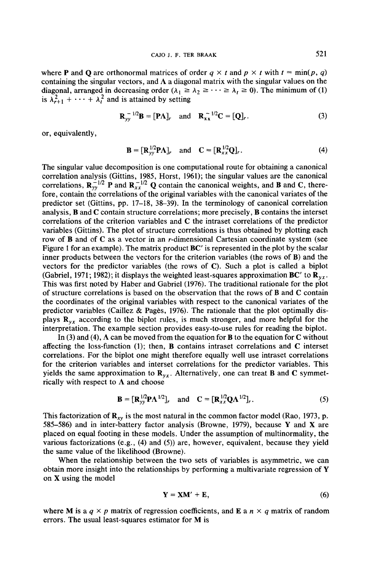where **P** and **Q** are orthonormal matrices of order  $q \times t$  and  $p \times t$  with  $t = min(p, q)$ containing the singular vectors, and  $\Lambda$  a diagonal matrix with the singular values on the diagonal, arranged in decreasing order ( $\lambda_1 \geq \lambda_2 \geq \cdots \geq \lambda_t \geq 0$ ). The minimum of (1) is  $\lambda_{r+1}^2 + \cdots + \lambda_t^2$  and is attained by setting

$$
\mathbf{R}_{yy}^{-1/2}\mathbf{B} = [\mathbf{P}\Lambda]_r \quad \text{and} \quad \mathbf{R}_{xx}^{-1/2}\mathbf{C} = [\mathbf{Q}]_r. \tag{3}
$$

or, equivalently,

$$
\mathbf{B} = [\mathbf{R}_{yy}^{1/2} \mathbf{P} \Lambda]_r \quad \text{and} \quad \mathbf{C} = [\mathbf{R}_{xx}^{1/2} \mathbf{Q}]_r. \tag{4}
$$

The singular value decomposition is one computational route for obtaining a canonical correlation analysis (Gittins, 1985, Horst, 1961); the singular values are the canonical correlations,  $\mathbf{R}_{yy}^{-1/2}$  P and  $\mathbf{R}_{xx}^{-1/2}$  Q contain the canonical weights, and B and C, therefore, contain the correlations of the original variables with the canonical variates of the predictor set (Gittins, pp. 17-18, 38-39). In the terminology of canonical correlation analysis, B and C contain structure correlations; more precisely, B contains the interset correlations of the criterion variables and C the intraset correlations of the predictor variables (Gittins). The plot of structure correlations is thus obtained by plotting each row of B and of C as a vector in an r-dimensional Cartesian coordinate system (see Figure 1 for an example). The matrix product  $BC'$  is represented in the plot by the scalar inner products between the vectors for the criterion variables (the rows of B) and the vectors for the predictor variables (the rows of  $C$ ). Such a plot is called a biplot (Gabriel, 1971; 1982); it displays the weighted least-squares approximation BC' to  $\mathbb{R}_{yz}$ . This was first noted by Haber and Gabriel (1976). The traditional rationale for the plot of structure correlations is based on the observation that the rows of B and C contain the coordinates of the original variables with respect to the canonical variates of the predictor variables (Caillez & Pages, 1976). The rationale that the plot optimally displays  $\mathbf{R}_{vx}$  according to the biplot rules, is much stronger, and more helpful for the interpretation. The example section provides easy-to-use rules for reading the biplot.

In (3) and (4),  $\Lambda$  can be moved from the equation for B to the equation for C without affecting the loss-function (1); then, B contains intraset correlations and C interset correlations. For the biplot one might therefore equally well use intraset correlations for the criterion variables and interset correlations for the predictor variables. This yields the same approximation to  $\mathbf{R}_{vx}$ . Alternatively, one can treat **B** and **C** symmetrically with respect to  $\Lambda$  and choose

$$
\mathbf{B} = [\mathbf{R}_{yy}^{1/2} \mathbf{P} \Lambda^{1/2}]_r \quad \text{and} \quad \mathbf{C} = [\mathbf{R}_{xx}^{1/2} \mathbf{Q} \Lambda^{1/2}]_r. \tag{5}
$$

This factorization of  $\mathbf{R}_{xy}$  is the most natural in the common factor model (Rao, 1973, p. 585-586) and in inter-battery factor analysis (Browne, 1979), because Y and X are placed on equal footing in these models. Under the assumption of multinormality, the various factorizations (e.g., (4) and (5)) are, however, equivalent, because they yield the same value of the likelihood (Browne).

When the relationship between the two sets of variables is asymmetric, we can obtain more insight into the relationships by performing a multivariate regression of Y on X using the model

$$
Y = XM' + E, \tag{6}
$$

where M is a  $q \times p$  matrix of regression coefficients, and E a  $n \times q$  matrix of random errors. The usual least-squares estimator for  $M$  is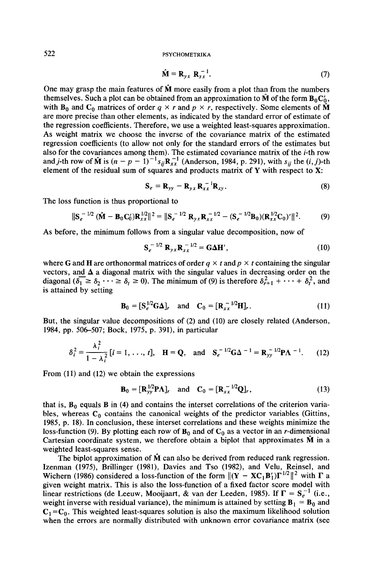$$
\hat{\mathbf{M}} = \mathbf{R}_{y \mid x} \mathbf{R}_{xx}^{-1}.
$$
 (7)

One may grasp the main features of  $\hat{M}$  more easily from a plot than from the numbers themselves. Such a plot can be obtained from an approximation to  $\hat{\mathbf{M}}$  of the form  $\mathbf{B}_0 \mathbf{C}_0'$ , with  $\mathbf{B}_0$  and  $\mathbf{C}_0$  matrices of order  $q \times r$  and  $p \times r$ , respectively. Some elements of  $\hat{\mathbf{M}}$ are more precise than other elements, as indicated by the standard error of estimate of the regression coefficients. Therefore, we use a weighted least-squares approximation. As weight matrix we choose the inverse of the covariance matrix of the estimated regression coefficients (to allow not only for the standard errors of the estimates but also for the covariances among them). The estimated covariance matrix of the *i-th* row and j-th row of  $\hat{M}$  is  $(n - p - 1)^{-1} s_{ij} R_{xx}^{-1}$  (Anderson, 1984, p. 291), with  $s_{ij}$  the  $(i, j)$ -th element of the residual sum of squares and products matrix of Y with respect to X:

$$
\mathbf{S}_e = \mathbf{R}_{yy} - \mathbf{R}_{yx} \mathbf{R}_{xx}^{-1} \mathbf{R}_{xy}.
$$
 (8)

The loss function is thus proportional to

$$
\|\mathbf{S}_e^{-1/2}(\hat{\mathbf{M}}-\mathbf{B}_0\mathbf{C}_0')\mathbf{R}_{xx}^{1/2}\|^2 = \|\mathbf{S}_e^{-1/2}\mathbf{R}_{yx}\mathbf{R}_{xx}^{-1/2} - (\mathbf{S}_e^{-1/2}\mathbf{B}_0)(\mathbf{R}_{xx}^{1/2}\mathbf{C}_0)'\|^2. \tag{9}
$$

As before, the minimum follows from a singular value decomposition, now of

$$
\mathbf{S}_e^{-1/2} \mathbf{R}_{yx} \mathbf{R}_{xx}^{-1/2} = \mathbf{G} \Delta \mathbf{H}',\tag{10}
$$

where G and H are orthonormal matrices of order  $q \times t$  and  $p \times t$  containing the singular vectors, and  $\Delta$  a diagonal matrix with the singular values in decreasing order on the diagonal  $(\delta_1 \geq \delta_2 \cdots \geq \delta_t \geq 0)$ . The minimum of (9) is therefore  $\delta_{r+1}^2 + \cdots + \delta_t^2$ , and is attained by setting

$$
\mathbf{B}_0 = [\mathbf{S}_e^{1/2} \mathbf{G} \Delta]_r \quad \text{and} \quad \mathbf{C}_0 = [\mathbf{R}_{xx}^{-1/2} \mathbf{H}]_r. \tag{11}
$$

But, the singular value decompositions of (2) and (10) are closely related (Anderson, 1984, pp. 506-507; Bock, 1975, p. 391), in particular

$$
\delta_i^2 = \frac{\lambda_i^2}{1 - \lambda_i^2} [i = 1, \dots, t], \quad \mathbf{H} = \mathbf{Q}, \quad \text{and} \quad \mathbf{S}_e^{-1/2} \mathbf{G} \Delta^{-1} = \mathbf{R}_{yy}^{-1/2} \mathbf{P} \mathbf{\Lambda}^{-1}.
$$
 (12)

From (11) and (12) we obtain the expressions

$$
\mathbf{B}_0 = [\mathbf{R}_{yy}^{1/2} \mathbf{P} \Lambda]_r \quad \text{and} \quad \mathbf{C}_0 = [\mathbf{R}_{xx}^{-1/2} \mathbf{Q}]_r, \tag{13}
$$

that is,  $B_0$  equals  $B$  in (4) and contains the interset correlations of the criterion variables, whereas  $C_0$  contains the canonical weights of the predictor variables (Gittins, 1985, p. 18). In conclusion, these interset correlations and these weights minimize the loss-function (9). By plotting each row of  $B_0$  and of  $C_0$  as a vector in an r-dimensional Cartesian coordinate system, we therefore obtain a biplot that approximates  $\hat{M}$  in a weighted least-squares sense.

The biplot approximation of  $\hat{M}$  can also be derived from reduced rank regression. Izenman (1975), Brillinger (1981), Davies and Tso (1982), and Velu, Reinsel, and Wichern (1986) considered a loss-function of the form  $\|(Y - XC_1B_1)\Gamma^{1/2}\|^2$  with  $\Gamma$  a given weight matrix. This is also the loss-function of a fixed factor score model with linear restrictions (de Leeuw, Mooijaart, & van der Leeden, 1985). If  $\Gamma = S_e^{-1}$  (i.e., weight inverse with residual variance), the minimum is attained by setting  $\mathbf{B}_1 = \mathbf{B}_0$  and  $C_1 = C_0$ . This weighted least-squares solution is also the maximum likelihood solution when the errors are normally distributed with unknown error covariance matrix (see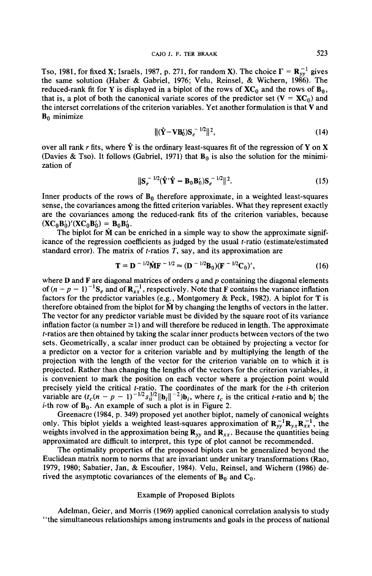Tso, 1981, for fixed X; Israëls, 1987, p. 271, for random X). The choice  $\Gamma = \mathbf{R}_{yy}^{-1}$  gives the same solution (Haber & Gabriel, 1976; Velu, Reinsel, & Wichern, 1986). The reduced-rank fit for Y is displayed in a biplot of the rows of  $XC_0$  and the rows of  $B_0$ , that is, a plot of both the canonical variate scores of the predictor set ( $V = X C_0$ ) and the interset correlations of the criterion variables. Yet another formulation is that V and **B0** minimize

$$
\|(\hat{\mathbf{Y}} - \mathbf{V}\mathbf{B}_0)\mathbf{S}_e^{-1/2}\|^2,\tag{14}
$$

over all rank r fits, where  $\hat{Y}$  is the ordinary least-squares fit of the regression of Y on X (Davies & Tso). It follows (Gabriel, 1971) that  $B_0$  is also the solution for the minimization of

$$
\|\mathbf{S}_e^{-1/2}(\hat{\mathbf{Y}}'\hat{\mathbf{Y}} - \mathbf{B}_0\mathbf{B}_0')\mathbf{S}_e^{-1/2}\|^2. \tag{15}
$$

Inner products of the rows of  $\mathbf{B}_0$  therefore approximate, in a weighted least-squares sense, the covariances among the fitted criterion variables. What they represent exactly are the covariances among the reduced-rank fits of the criterion variables, because  $(XC_0B'_0)'(XC_0B'_0) = B_0B'_0$ .<br>The biplot for  $\hat{M}$  can be enriched in a simple way to show the approximate signif-

icance of the regression coefficients as judged by the usual t-ratio (estimate/estimated standard error). The matrix of *t*-ratios  $T$ , say, and its approximation are

$$
\mathbf{T} = \mathbf{D}^{-1/2} \hat{\mathbf{M}} \mathbf{F}^{-1/2} \approx (\mathbf{D}^{-1/2} \mathbf{B}_0) (\mathbf{F}^{-1/2} \mathbf{C}_0)', \tag{16}
$$

where **D** and **F** are diagonal matrices of orders  $q$  and  $p$  containing the diagonal elements of  $(n-p-1)^{-1}$ S<sub>e</sub> and of  $\mathbb{R}^{-1}_{x}$ , respectively. Note that F contains the variance inflation factors for the predictor variables (e.g., Montgomery & Peck, 1982). A biplot for T is therefore obtained from the biplot for  $\hat{M}$  by changing the lengths of vectors in the latter. The vector for any predictor variable must be divided by the square root of its variance inflation factor (a number  $\geq$ 1) and will therefore be reduced in length. The approximate t-ratios are then obtained by taking the scalar inner products between vectors ofthe two sets. Geometrically, a scalar inner product can be obtained by projecting a vector for a predictor on a vector for a criterion variable and by multiplying the length of the projection with the length of the vector for the criterion variable on to which it is projected. Rather than changing the lengths of the vectors for the criterion variables, it is convenient to mark the position on each vector where a projection point would precisely yield the critical *t*-ratio. The coordinates of the mark for the *i*-th criterion variable are  $(t_c(n-p-1)^{-1/2} s_{ii}^{1/2} ||\mathbf{b}_i||^{-2}) \mathbf{b}_i$ , where  $t_c$  is the critical *t*-ratio and  $\mathbf{b}'_i$  the *i*-th row of  $\mathbf{B}_0$ . An example of such a plot is in Figure 2.

Greenacre (1984, p. 349) proposed yet another biplot, namely of canonical weights only. This biplot yields a weighted least-squares approximation of  $\mathbf{R}_{yy}^{-1}\mathbf{R}_{yx}\mathbf{R}_{xx}^{-1}$ , the weights involved in the approximation being  $\mathbf{R}_{yy}$  and  $\mathbf{R}_{xx}$ . Because the quantities being approximated are difficult to interpret, this type of plot cannot be recommended.

The optimality properties of the proposed biplots can be generalized beyond the Euclidean matrix norm to norms that are invariant under unitary transformations (Rao, 1979, 1980; Sabatier, Jan, & Escoufier, 1984). Velu, Reinsel, and Wichern (1986) derived the asymptotic covariances of the elements of  $B_0$  and  $C_0$ .

## Example of Proposed Biplots

Adelman, Geier, and Morris (1969) applied canonical correlation analysis to study "the simultaneous relationships among instruments and goals in the process of national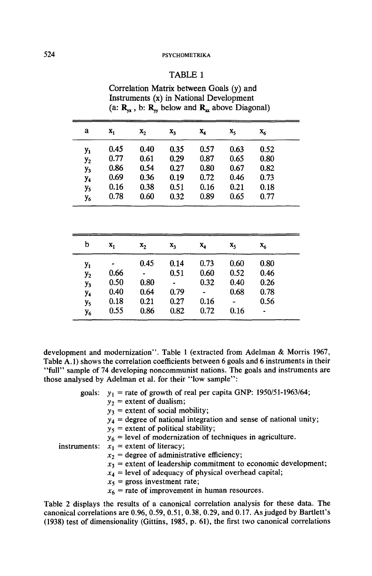# 524 PSYCHOMETRIKA

# TABLE 1

| Correlation Matrix between Goals (y) and                                                   |  |
|--------------------------------------------------------------------------------------------|--|
| Instruments (x) in National Development                                                    |  |
| (a: $\mathbf{R}_{\alpha}$ , b: $\mathbf{R}_{w}$ below and $\mathbf{R}_{x}$ above Diagonal) |  |

| a              | $x_1$ | x <sub>2</sub> | $X_3$          | $\mathbf{x}_4$ | $X_5$          | $\mathbf{x}_6$ |
|----------------|-------|----------------|----------------|----------------|----------------|----------------|
| $y_1$          | 0.45  | 0.40           | 0.35           | 0.57           | 0.63           | 0.52           |
| $y_2$          | 0.77  | 0.61           | 0.29           | 0.87           | 0.65           | 0.80           |
| $y_3$          | 0.86  | 0.54           | 0.27           | 0.80           | 0.67           | 0.82           |
| y,             | 0.69  | 0.36           | 0.19           | 0.72           | 0.46           | 0.73           |
| y <sub>5</sub> | 0.16  | 0.38           | 0.51           | 0.16           | 0.21           | 0.18           |
| У6             | 0.78  | 0.60           | 0.32           | 0.89           | 0.65           | 0.77           |
| b              | $x_1$ | $\mathbf{x}_2$ | $\mathbf{x}_3$ | $X_4$          | x <sub>s</sub> | Х,             |
| $y_1$          |       | 0.45           | 0.14           | 0.73           | 0.60           | 0.80           |
| y <sub>2</sub> | 0.66  |                | 0.51           | 0.60           | 0.52           | 0.46           |
| $y_3$          | 0.50  | 0.80           |                | 0.32           | 0.40           | 0.26           |
| y <sub>4</sub> | 0.40  | 0.64           | 0.79           |                | 0.68           | 0.78           |
| y <sub>s</sub> | 0.18  | 0.21           | 0.27           | 0.16           | ٠              | 0.56           |
| У6             | 0.55  | 0.86           | 0.82           | 0.72           | 0.16           |                |

development and modernization". Table 1 (extracted from Adelman & Morris 1967, Table A.l) shows the correlation coefficients between 6 goals and 6 instruments in their "full" sample of 74 developing noncommunist nations. The goals and instruments are those analysed by Adelman et al. for their "low sample":

| goals: $y_1$ = rate of growth of real per capita GNP: 1950/51-1963/64; |
|------------------------------------------------------------------------|
| $y_2$ = extent of dualism;                                             |
| $y_3$ = extent of social mobility;                                     |
| $y_4$ = degree of national integration and sense of national unity;    |
| $y_5$ = extent of political stability;                                 |
| $y_6$ = level of modernization of techniques in agriculture.           |
| instruments: $x_1$ = extent of literacy;                               |
| $x_2$ = degree of administrative efficiency;                           |
| $x_3$ = extent of leadership commitment to economic development;       |
| $x_4$ = level of adequacy of physical overhead capital;                |
| $x_5$ = gross investment rate;                                         |
| $x_6$ = rate of improvement in human resources.                        |
|                                                                        |

Table 2 displays the results of a canonical correlation analysis for these data. The canonical correlations are 0.96, 0.59, 0.51, 0.38, 0.29, and 0.17. As judged by Bartlett's (1938) test of dimensionality (Gittins, 1985, p. 61), the first two canonical correlations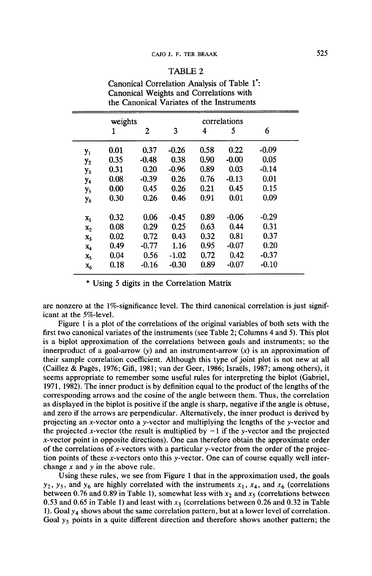# TABLE 2

|                       | the Canonical Variates of the Instruments |         |         |      |         |         |  |
|-----------------------|-------------------------------------------|---------|---------|------|---------|---------|--|
|                       | weights                                   |         |         |      |         |         |  |
|                       | 1                                         | 2       | 3       | 4    | 5       | 6       |  |
| $y_1$                 | 0.01                                      | 0.37    | $-0.26$ | 0.58 | 0.22    | $-0.09$ |  |
| $y_2$                 | 0.35                                      | $-0.48$ | 0.38    | 0.90 | $-0.00$ | 0.05    |  |
| $y_3$                 | 0.31                                      | 0.20    | $-0.96$ | 0.89 | 0.03    | $-0.14$ |  |
| y <sub>4</sub>        | 0.08                                      | $-0.39$ | 0.26    | 0.76 | $-0.13$ | 0.01    |  |
| y <sub>5</sub>        | 0.00                                      | 0.45    | 0.26    | 0.21 | 0.45    | 0.15    |  |
| <b>y</b> <sub>6</sub> | 0.30                                      | 0.26    | 0.46    | 0.91 | 0.01    | 0.09    |  |
| $x_1$                 | 0.32                                      | 0.06    | $-0.45$ | 0.89 | $-0.06$ | $-0.29$ |  |
| $\mathbf{x}_2$        | 0.08                                      | 0.29    | 0.25    | 0.63 | 0.44    | 0.31    |  |
| $\mathbf{x}_3$        | 0.02                                      | 0.72    | 0.43    | 0.32 | 0.81    | 0.37    |  |
| $\mathbf{x}_4$        | 0.49                                      | $-0.77$ | 1.16    | 0.95 | $-0.07$ | 0.20    |  |
| $\mathbf{x}_5$        | 0.04                                      | 0.56    | $-1.02$ | 0.72 | 0.42    | $-0.37$ |  |
| $\mathbf{x}_{6}$      | 0.18                                      | $-0.16$ | $-0.30$ | 0.89 | $-0.07$ | $-0.10$ |  |

Canonical Correlation Analysis of Table 1•: Canonical Weights and Correlations with

ż

\* Using 5 digits in the Correlation Matrix

are nonzero at the 1%-significance level. The third canonical correlation is just significant at the 5%-level.

Figure 1 is a plot of the correlations of the original variables of both sets with the first two canonical variates of the instruments (see Table 2; Columns 4 and 5). This plot is a biplot approximation of the correlations between goals and instruments; so the innerproduct of a goal-arrow  $(y)$  and an instrument-arrow  $(x)$  is an approximation of their sample correlation coefficient. Although this type of joint plot is not new at all (Caillez & Pages, 1976; Gifi, 1981; van der Geer, 1986; Israels, 1987; among others), it seems appropriate to remember some useful rules for interpreting the biplot (Gabriel, 1971, 1982). The inner product is by definition equal to the product of the lengths of the corresponding arrows and the cosine of the angle between them. Thus, the correlation as displayed in the biplot is positive if the angle is sharp, negative if the angle is obtuse, and zero if the arrows are perpendicular. Alternatively, the inner product is derived by projecting an x-vector onto a y-vector and multiplying the lengths of the y-vector and the projected x-vector (the result is multiplied by  $-1$  if the y-vector and the projected x-vector point in opposite directions). One can therefore obtain the approximate order of the correlations of x-vectors with a particular y-vector from the order of the projection points of these x-vectors onto this y-vector. One can of course equally well interchange x and *y* in the above rule.

Using these rules, we see from Figure 1 that in the approximation used, the goals  $y_2$ ,  $y_3$ , and  $y_6$  are highly correlated with the instruments  $x_1$ ,  $x_4$ , and  $x_6$  (correlations between 0.76 and 0.89 in Table 1), somewhat less with  $x_2$  and  $x_5$  (correlations between 0.53 and 0.65 in Table 1) and least with  $x_3$  (correlations between 0.26 and 0.32 in Table 1). Goal  $y_4$  shows about the same correlation pattern, but at a lower level of correlation. Goal  $y_5$  points in a quite different direction and therefore shows another pattern; the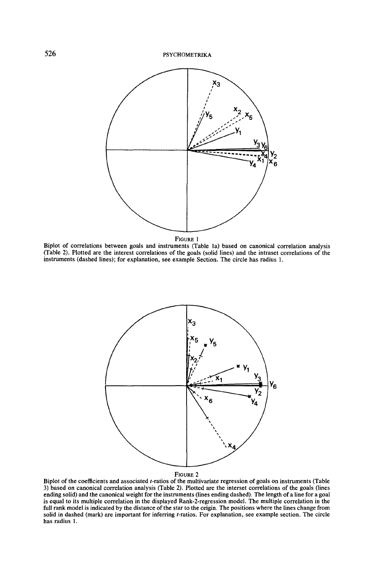

FIGURE I

Biplot of correlations between goals and instruments (Table Ia) based on canonical correlation analysis (Table 2). Plotted are the interest correlations of the goals (solid lines) and the intraset correlations of the instruments (dashed lines); for explanation, see example Section. The circle has radius I.



FIGURE 2

Biplot of the coefficients and associated t-ratios of the multivariate regression of goals on instruments (Table 3) based on canonical correlation analysis (Table 2). Plotted are the interset correlations of the goals (lines ending solid) and the canonical weight for the instruments (lines ending dashed). The length of a line for a goal is equal to its multiple correlation in the displayed Rank-2-regression model. The multiple correlation in the full rank model is indicated by the distance of the star to the origin. The positions where the lines change from solid in dashed (mark) are important for inferring t-ratios. For explanation, see example section. The circle has radius I.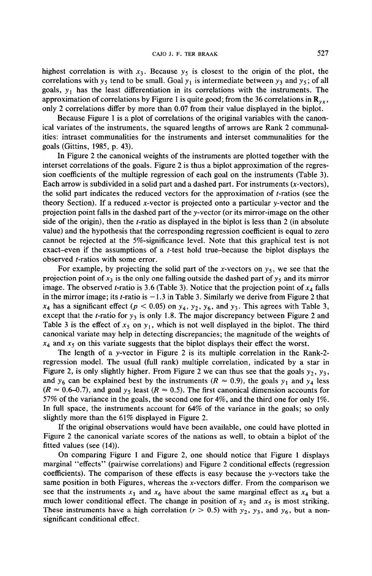highest correlation is with  $x_3$ . Because  $y_5$  is closest to the origin of the plot, the correlations with  $y_5$  tend to be small. Goal  $y_1$  is intermediate between  $y_3$  and  $y_5$ ; of all goals,  $y_1$  has the least differentiation in its correlations with the instruments. The approximation of correlations by Figure 1 is quite good; from the 36 correlations in  $\mathbb{R}_{yz}$ , only 2 correlations differ by more than 0.07 from their value displayed in the biplot.

Because Figure 1 is a plot of correlations of the original variables with the canonical variates of the instruments, the squared lengths of arrows are Rank 2 communalities: intraset communalities for the instruments and interset communalities for the goals (Gittins, 1985, p. 43).

In Figure 2 the canonical weights of the instruments are plotted together with the interset correlations of the goals. Figure 2 is thus a biplot approximation of the regression coefficients of the multiple regression of each goal on the instruments (Table 3). Each arrow is subdivided in a solid part and a dashed part. For instruments  $(x$ -vectors), the solid part indicates the reduced vectors for the approximation of *t*-ratios (see the theory Section). If a reduced x-vector is projected onto a particular y-vector and the projection point falls in the dashed part of they-vector (or its mirror-image on the other side of the origin), then the t-ratio as displayed in the biplot is less than 2 (in absolute value) and the hypothesis that the corresponding regression coefficient is equal to zero cannot be rejected at the 5%-significance level. Note that this graphical test is not exact-even if the assumptions of a *t*-test hold true-because the biplot displays the observed t-ratios with some error.

For example, by projecting the solid part of the x-vectors on  $y_5$ , we see that the projection point of  $x_3$  is the only one falling outside the dashed part of  $y_5$  and its mirror image. The observed *t*-ratio is 3.6 (Table 3). Notice that the projection point of  $x<sub>4</sub>$  falls in the mirror image; its *t*-ratio is  $-1.3$  in Table 3. Similarly we derive from Figure 2 that  $x_4$  has a significant effect ( $p < 0.05$ ) on  $y_4$ ,  $y_2$ ,  $y_6$ , and  $y_3$ . This agrees with Table 3, except that the *t*-ratio for  $y_3$  is only 1.8. The major discrepancy between Figure 2 and Table 3 is the effect of  $x_5$  on  $y_1$ , which is not well displayed in the biplot. The third canonical variate may help in detecting discrepancies; the magnitude of the weights of  $x_4$  and  $x_5$  on this variate suggests that the biplot displays their effect the worst.

The length of a y-vector in Figure 2 is its multiple correlation in the Rank-2 regression model. The usual (full rank) multiple correlation, indicated by a star in Figure 2, is only slightly higher. From Figure 2 we can thus see that the goals  $y_2$ ,  $y_3$ , and  $y_6$  can be explained best by the instruments ( $R \approx 0.9$ ), the goals  $y_1$  and  $y_4$  less  $(R \approx 0.6$ –0.7), and goal  $y_5$  least  $(R \approx 0.5)$ . The first canonical dimension accounts for 57% of the variance in the goals, the second one for 4%, and the third one for only 1%. In full space, the instruments account for 64% of the variance in the goals; so only slightly more than the 61% displayed in Figure 2.

If the original observations would have been available, one could have plotted in Figure 2 the canonical variate scores of the nations as well, to obtain a biplot of the fitted values (see (14)).

On comparing Figure I and Figure 2, one should notice that Figure 1 displays marginal "effects" (pairwise correlations) and Figure 2 conditional effects (regression coefficients). The comparison of these effects is easy because the y-vectors take the same position in both Figures, whereas the  $x$ -vectors differ. From the comparison we see that the instruments  $x_1$  and  $x_6$  have about the same marginal effect as  $x_4$  but a much lower conditional effect. The change in position of  $x_2$  and  $x_5$  is most striking. These instruments have a high correlation ( $r > 0.5$ ) with  $y_2$ ,  $y_3$ , and  $y_6$ , but a nonsignificant conditional effect.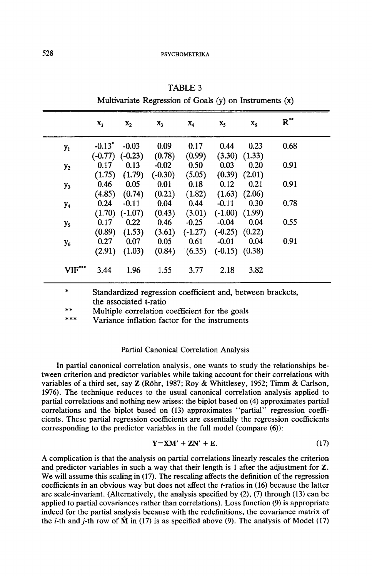|                | $x_1$                | $\mathbf{x}_2$      | X <sub>3</sub>    | $X_4$     | $X_{5}$            | $X_6$             | $R^{\bullet\bullet}$ |
|----------------|----------------------|---------------------|-------------------|-----------|--------------------|-------------------|----------------------|
| $y_1$          | $-0.13$ <sup>*</sup> | $-0.03$             | 0.09              | 0.17      | 0.44               | 0.23              | 0.68                 |
|                |                      | $(-0.77)$ $(-0.23)$ | (0.78)            | (0.99)    | (3.30)             | (1.33)            |                      |
| $y_2$          | 0.17                 | 0.13                | $-0.02$           | 0.50      | 0.03               | 0.20              | 0.91                 |
|                | (1.75)               | (1.79)              | $(-0.30)$         | (5.05)    | (0.39)             | (2.01)            |                      |
| $y_3$          | 0.46                 | 0.05                | 0.01              | 0.18      | 0.12               | 0.21              | 0.91                 |
|                | (4.85)               | (0.74)              | (0.21)            | (1.82)    |                    | $(1.63)$ $(2.06)$ |                      |
| y <sub>4</sub> | 0.24                 | $-0.11$             | 0.04              | 0.44      | $-0.11$            | 0.30              | 0.78                 |
|                | (1.70)               | $(-1.07)$           | $(0.43)$ $(3.01)$ |           | $(-1.00)$ $(1.99)$ |                   |                      |
| y <sub>5</sub> | 0.17                 | 0.22                | 0.46              | $-0.25$   | $-0.04$            | 0.04              | 0.55                 |
|                | (0.89)               | (1.53)              | (3.61)            | $(-1.27)$ | $(-0.25)$ $(0.22)$ |                   |                      |
| $y_{6}$        | 0.27                 | 0.07                | 0.05              | 0.61      | $-0.01$            | 0.04              | 0.91                 |
|                | (2.91)               | (1.03)              | (0.84)            | (6.35)    | $(-0.15)$ $(0.38)$ |                   |                      |
| $VIF$          | 3.44                 | 1.96                | 1.55              | 3.77      | 2.18               | 3.82              |                      |

TABLE 3

Multivariate Regression of Goals (y) on Instruments (x)

Standardized regression coefficient and, between brackets, the associated t-ratio

\*\* Multiple correlation coefficient for the goals

Variance inflation factor for the instruments

# Partial Canonical Correlation Analysis

In partial canonical correlation analysis, one wants to study the relationships between criterion and predictor variables while taking account for their correlations with variables of a third set, say Z (Rohr, 1987; Roy & Whittlesey, 1952; Timm & Carlson, 1976). The technique reduces to the usual canonical correlation analysis applied to partial correlations and nothing new arises: the biplot based on (4) approximates partial correlations and the biplot based on (13) approximates "partial" regression coefficients. These partial regression coefficients are essentially the regression coefficients corresponding to the predictor variables in the full model (compare (6)):

$$
Y=XM'+ZN'+E.
$$
 (17)

A complication is that the analysis on partial correlations linearly rescales the criterion and predictor variables in such a way that their length is 1 after the adjustment for Z. We will assume this scaling in (17). The rescaling affects the definition of the regression coefficients in an obvious way but does not affect the t-ratios in (16) because the latter are scale-invariant. (Alternatively, the analysis specified by (2), (7) through (13) can be applied to partial covariances rather than correlations). Loss function (9) is appropriate indeed for the partial analysis because with the redefinitions, the covariance matrix of the *i*-th and *j*-th row of  $\hat{M}$  in (17) is as specified above (9). The analysis of Model (17)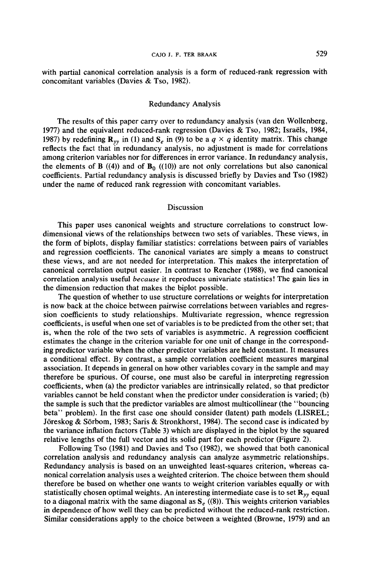with partial canonical correlation analysis is a form of reduced-rank regression with concomitant variables (Davies & Tso, 1982).

#### Redundancy Analysis

The results of this paper carry over to redundancy analysis (van den Wollenberg, 1977) and the equivalent reduced-rank regression (Davies & Tso, 1982; Israels, 1984, 1987) by redefining  $\mathbf{R}_{yy}$  in (1) and  $\mathbf{S}_{e}$  in (9) to be a  $q \times q$  identity matrix. This change reflects the fact that in redundancy analysis, no adjustment is made for correlations among criterion variables nor for differences in error variance. In redundancy analysis, the elements of B  $((4))$  and of B<sub>0</sub>  $((10))$  are not only correlations but also canonical coefficients. Partial redundancy analysis is discussed briefly by Davies and Tso (1982) under the name of reduced rank regression with concomitant variables.

#### Discussion

This paper uses canonical weights and structure correlations to construct lowdimensional views of the relationships between two sets of variables. These views, in the form of biplots, display familiar statistics: correlations between pairs of variables and regression coefficients. The canonical variates are simply a means to construct these views, and are not needed for interpretation. This makes the interpretation of canonical correlation output easier. In contrast to Rencher (1988), we find canonical correlation analysis useful *because* it reproduces univariate statistics! The gain lies in the dimension reduction that makes the biplot possible.

The question of whether to use structure correlations or weights for interpretation is now back at the choice between pairwise correlations between variables and regression coefficients to study relationships. Multivariate regression, whence regression coefficients, is useful when one set of variables is to be predicted from the other set; that is, when the role of the two sets of variables is asymmetric. A regression coefficient estimates the change in the criterion variable for one unit of change in the corresponding predictor variable when the other predictor variables are held constant. It measures a conditional effect. By contrast, a sample correlation coefficient measures marginal association. It depends in general on how other variables covary in the sample and may therefore be spurious. Of course, one must also be careful in interpreting regression coefficients, when (a) the predictor variables are intrinsically related, so that predictor variables cannot be held constant when the predictor under consideration is varied; (b) the sample is such that the predictor variables are almost multicollinear (the "bouncing beta" problem). In the first case one should consider (latent) path models (LISREL; Joreskog & Sorbom, 1983; Saris & Stronkhorst, 1984). The second case is indicated by the variance inflation factors (Table 3) which are displayed in the biplot by the squared relative lengths of the full vector and its solid part for each predictor (Figure 2).

Following Tso (1981) and Davies and Tso (1982), we showed that both canonical correlation analysis and redundancy analysis can analyze asymmetric relationships. Redundancy analysis is based on an unweighted least-squares criterion, whereas canonical correlation analysis uses a weighted criterion. The choice between them should therefore be based on whether one wants to weight criterion variables equally or with statistically chosen optimal weights. An interesting intermediate case is to set *Ryy* equal to a diagonal matrix with the same diagonal as  $S_e$  ((8)). This weights criterion variables in dependence of how well they can be predicted without the reduced-rank restriction. Similar considerations apply to the choice between a weighted (Browne, 1979) and an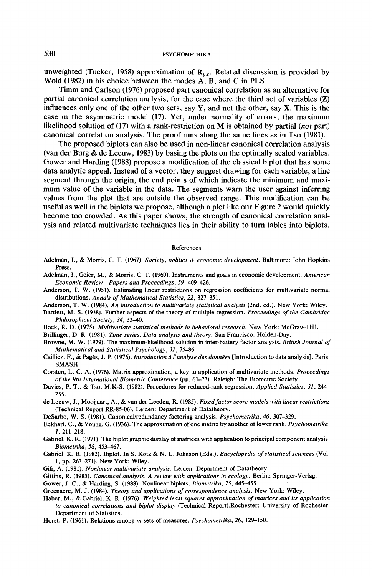# 530 **PSYCHOMETRIKA**

unweighted (Tucker, 1958) approximation of  $\mathbf{R}_{vx}$ . Related discussion is provided by Wold (1982) in his choice between the modes A, B, and C in PLS.

Timm and Carlson (1976) proposed part canonical correlation as an alternative for partial canonical correlation analysis, for the case where the third set of variables (Z) influences only one of the other two sets, say Y, and not the other, say X. This is the case in the asymmetric model (17). Yet, under normality of errors, the maximum likelihood solution of (17) with a rank-restriction on M is obtained by partial (not part) canonical correlation analysis. The proof runs along the same lines as in Tso (1981).

The proposed biplots can also be used in non-linear canonical correlation analysis (van der Burg & de Leeuw, 1983) by basing the plots on the optimally scaled variables. Gower and Harding (1988) propose a modification of the classical biplot that has some data analytic appeal. Instead of a vector, they suggest drawing for each variable, a line segment through the origin, the end points of which indicate the minimum and maximum value of the variable in the data. The segments warn the user against inferring values from the plot that are outside the observed range. This modification can be useful as well in the biplots we propose, although a plot like our Figure 2 would quickly become too crowded. As this paper shows, the strength of canonical correlation analysis and related multivariate techniques lies in their ability to tum tables into biplots.

#### References

- Adelman, 1., & Morris, C. T. (1967). *Society, politics* & *economic development.* Baltimore: John Hopkins Press.
- Adelman, 1., Geier, M., & Morris, C. T. (1969). Instruments and goals in economic development. *American Economic Review-Papers and Proceedings, 59,* 409-426.
- Anderson, T. W. (1951). Estimating linear restrictions on regression coefficients for multivariate normal distributions. *Annals of Mathematical Statistics, 22,* 327-351.
- Anderson, T. W. (1984). *An introduction to multivariate statistical analysis* (2nd. ed.). New York: Wiley.
- Bartlett, M. S. (1938). Further aspects of the theory of multiple regression. *Proceedings of the Cambridge Philosophical Society, 34,* 33-40.
- Bock, R. D. (1975). *Multivariate statistical methods in behavioral research.* New York: McGraw-Hill.
- Brillinger, D. R. (1981). *Time series: Data analysis and theory.* San Francisco: Holden-Day.
- Browne, M. W. (1979). The maximum-likelihood solution in inter-battery factor analysis. *British Journal of Mathematical and Statistical Psychology, 32, 75-86.*
- Cailliez, F., & Pages, J.P. (1976). *Introduction* ii */'analyse des donnees* [Introduction to data analysis]. Paris: SMASH.
- Corsten, L. C. A. (1976). Matrix approximation, a key to application of multivariate methods. *Proceedings of the 9th International Biometric Conference* (pp. 61-77). Raleigh: The Biometric Society.
- Davies, P. T., & Tso, M.K-S. (1982). Procedures for reduced-rank regression. *Applied Statistics, 31,* 244- 255.
- de Leeuw, J., Mooijaart, A., & van der Leeden, R. (1985). *Fixed factor score models with linear restrictions*  (Technical Report RR-85-06). Leiden: Department of Datatheory.
- DeSarbo, W. S. (1981). Canonical/redundancy factoring analysis. *Psychometrika, 46,* 307-329.
- Eckhart, C., & Young, G. (1936). The approximation of one matrix by another oflower rank. *Psychometrika,*  1, 211-218.
- Gabriel, K. R. (1971). The biplot graphic display of matrices with application to principal component analysis. *Biometrika, 58,* 453-467.
- Gabriel, K. R. (1982). Biplot. InS. Kotz & N. L. Johnson (Eds.), *Encyclopedia of statistical sciences* (Vol. 1, pp. 263-271). New York: Wiley.
- Gifi, A. (1981). *Nonlinear multivariate analysis.* Leiden: Department of Datatheory.
- Gittins, R. (1985). *Canonical analysis. A review with applications in ecology*. Berlin: Springer-Verlag.

Gower, J. C., & Harding, S. (1988). Nonlinear biplots. *Biometrika,* 75, *445-455* 

- Greenacre, M. J. (1984). *Theory and applications of correspondence analysis.* New York: Wiley.
- Haber, M., & Gabriel, K. R. (1976). *Weighted least squares approximation of matrices and its application to canonical correlations and biplot display* (Technical Report).Rochester: University of Rochester, Department of Statistics.
- Horst, P. (1961). Relations among *m* sets of measures. *Psychometrika, 26,* 129-150.